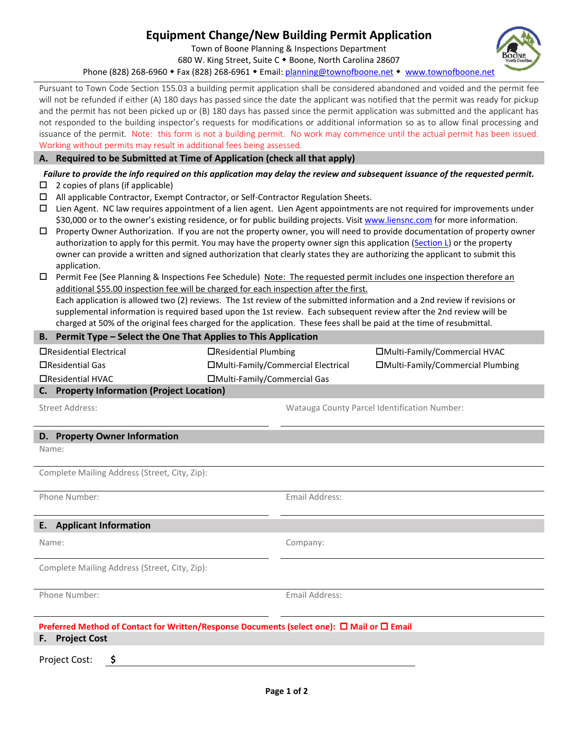## **Equipment Change/New Building Permit Application**

Town of Boone Planning & Inspections Department 680 W. King Street, Suite C . Boone, North Carolina 28607

Phone (828) 268-6960 • Fax (828) 268-6961 • Email[: planning@townofboone.net](mailto:planning@townofboone.net) • [www.townofboone.net](http://www.townofboone.net/)

Pursuant to Town Code Section 155.03 a building permit application shall be considered abandoned and voided and the permit fee will not be refunded if either (A) 180 days has passed since the date the applicant was notified that the permit was ready for pickup and the permit has not been picked up or (B) 180 days has passed since the permit application was submitted and the applicant has not responded to the building inspector's requests for modifications or additional information so as to allow final processing and issuance of the permit. Note: this form is not a building permit. No work may commence until the actual permit has been issued. Working without permits may result in additional fees being assessed.

## **A. Required to be Submitted at Time of Application (check all that apply)**

*Failure to provide the info required on this application may delay the review and subsequent issuance of the requested permit.*

- $\Box$  2 copies of plans (if applicable)
- $\Box$  All applicable Contractor, Exempt Contractor, or Self-Contractor Regulation Sheets.
- $\Box$  Lien Agent. NC law requires appointment of a lien agent. Lien Agent appointments are not required for improvements under \$30,000 or to the owner's existing residence, or for public building projects. Visit [www.liensnc.com](http://www.liensnc.com/) for more information.
- $\Box$  Property Owner Authorization. If you are not the property owner, you will need to provide documentation of property owner authorization to apply for this permit. You may have the property owner sign this application [\(Section L\)](#page-1-0) or the property owner can provide a written and signed authorization that clearly states they are authorizing the applicant to submit this application.
- $\Box$  Permit Fee (See Planning & Inspections Fee Schedule) Note: The requested permit includes one inspection therefore an additional \$55.00 inspection fee will be charged for each inspection after the first. Each application is allowed two (2) reviews. The 1st review of the submitted information and a 2nd review if revisions or supplemental information is required based upon the 1st review. Each subsequent review after the 2nd review will be

charged at 50% of the original fees charged for the application. These fees shall be paid at the time of resubmittal.

| B. Permit Type – Select the One That Applies to This Application |                                     |                |                                              |  |  |  |  |  |  |  |
|------------------------------------------------------------------|-------------------------------------|----------------|----------------------------------------------|--|--|--|--|--|--|--|
| □Residential Electrical                                          | □Residential Plumbing               |                | □Multi-Family/Commercial HVAC                |  |  |  |  |  |  |  |
| □Residential Gas                                                 | □Multi-Family/Commercial Electrical |                | □Multi-Family/Commercial Plumbing            |  |  |  |  |  |  |  |
| □Residential HVAC                                                | □Multi-Family/Commercial Gas        |                |                                              |  |  |  |  |  |  |  |
| C. Property Information (Project Location)                       |                                     |                |                                              |  |  |  |  |  |  |  |
| Street Address:                                                  |                                     |                | Watauga County Parcel Identification Number: |  |  |  |  |  |  |  |
| D. Property Owner Information                                    |                                     |                |                                              |  |  |  |  |  |  |  |
| Name:                                                            |                                     |                |                                              |  |  |  |  |  |  |  |
| Complete Mailing Address (Street, City, Zip):                    |                                     |                |                                              |  |  |  |  |  |  |  |
| Phone Number:                                                    |                                     | Email Address: |                                              |  |  |  |  |  |  |  |
| E. Applicant Information                                         |                                     |                |                                              |  |  |  |  |  |  |  |
| Name:                                                            |                                     | Company:       |                                              |  |  |  |  |  |  |  |
| Complete Mailing Address (Street, City, Zip):                    |                                     |                |                                              |  |  |  |  |  |  |  |
| Phone Number:                                                    |                                     | Email Address: |                                              |  |  |  |  |  |  |  |

## **Preferred Method of Contact for Written/Response Documents (select one): □ Mail or □ Email**

**F. Project Cost**

Project Cost: **\$**